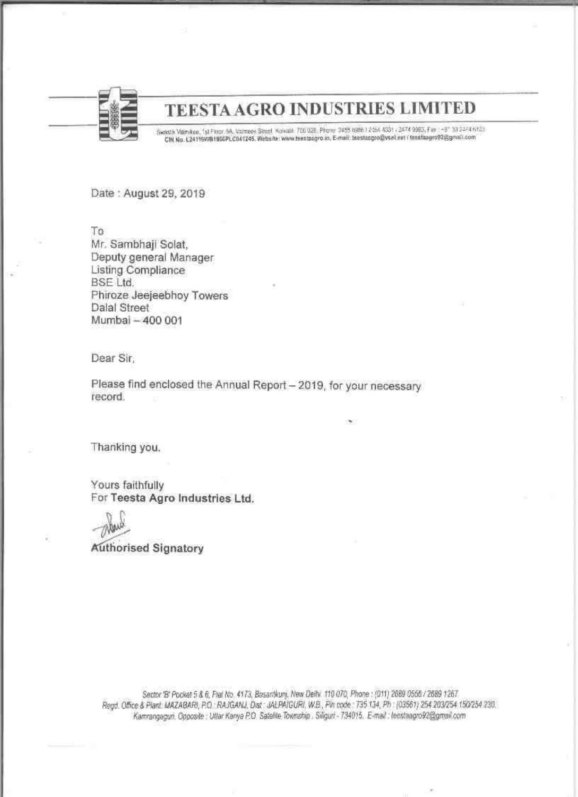## TEESTA AGRO INDUSTRIES LIMITED

Swaste Valmkee, 1st Floor, 5A, Valmees Street, Kokala, 700 028, Phone 7455 6986 / 2454 4331 / 2474 9983, Fax: -9" 30 2444 6128

Date: August 29, 2019

To Mr. Sambhaji Solat, Deputy general Manager Listing Compliance **BSE Ltd.** Phiroze Jeejeebhoy Towers **Dalal Street** Mumbai - 400 001

Dear Sir,

Please find enclosed the Annual Report - 2019, for your necessary record.

Thanking you.

Yours faithfully For Teesta Agro Industries Ltd.

**Authorised Signatory** 

Sector 'B' Pocket 5 & 6, Flat No. 4173, Basantkunj, New Delhi, 110 070, Phone : (011) 2689 0566 / 2689 1267. Regd. Office & Plant. MAZABARI, P.O.: RAJGANJ, Dist: JALPAIGURI, W.B., Pin.code : 735 134, Ph : (03561) 254 203/254 150/254 230. Kamrangagun, Opposite ; Ultar Kanya P.O. Satelite Township , Siliguri - 734015, E-mail : teestaagro92@gmail.com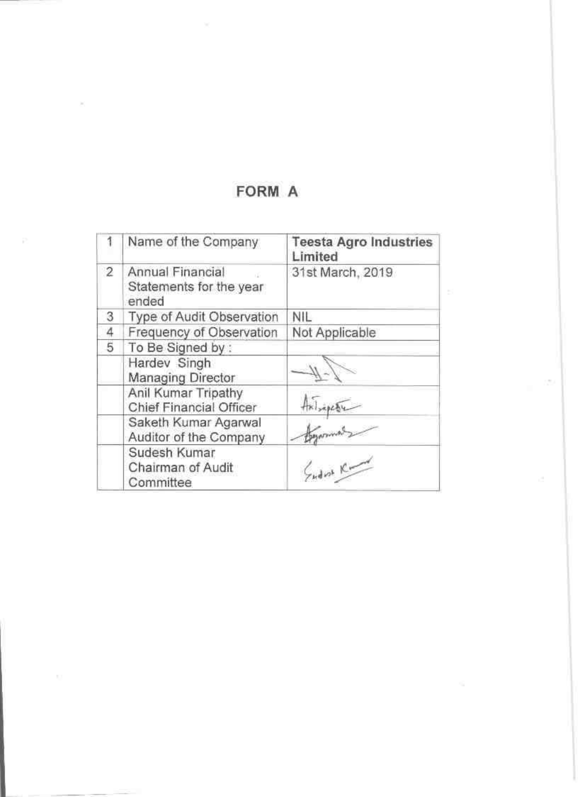# FORM A

|                | Name of the Company                                  | <b>Teesta Agro Industries</b><br>Limited |
|----------------|------------------------------------------------------|------------------------------------------|
| $\overline{2}$ | Annual Financial<br>Statements for the year<br>ended | 31st March, 2019                         |
| 3              | Type of Audit Observation                            | NIL.                                     |
| 4              | Frequency of Observation                             | Not Applicable                           |
| 5              | To Be Signed by:                                     |                                          |
|                | Hardev Singh<br><b>Managing Director</b>             |                                          |
|                | Anil Kumar Tripathy<br>Chief Financial Officer       |                                          |
|                | Saketh Kumar Agarwal<br>Auditor of the Company       | theyaman                                 |
|                | Sudesh Kumar<br>Chairman of Audit<br>Committee       | Endor K                                  |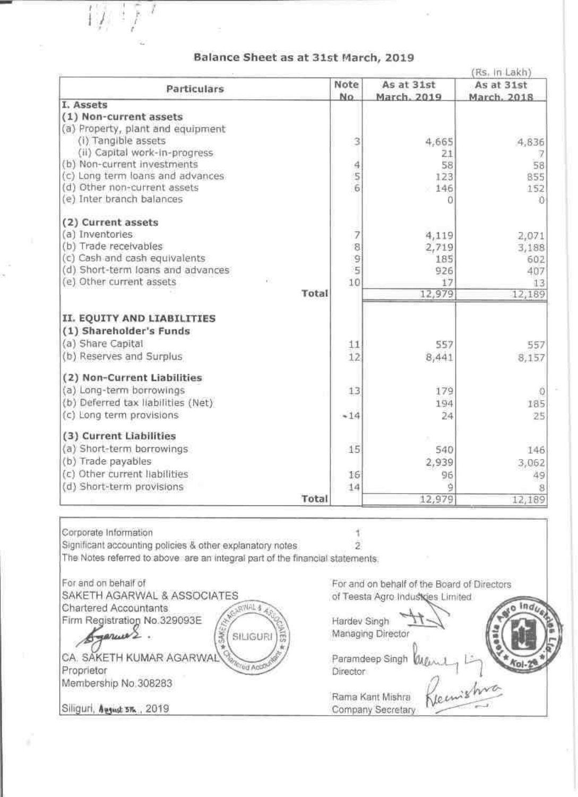|                                    |                |                           | (Rs. In Lakh)             |
|------------------------------------|----------------|---------------------------|---------------------------|
| Particulars                        | Note<br>No.    | As at 31st<br>March. 2019 | As at 31st<br>March, 2018 |
| I. Assets                          |                |                           |                           |
| (1) Non-current assets             |                |                           |                           |
| (a) Property, plant and equipment  |                |                           |                           |
| (i) Tangible assets                | 3              | 4,665                     | 4,836                     |
| (ii) Capital work-in-progress      |                | 21                        | Ñ.                        |
| (b) Non-current investments        | 4              | 58                        | 58                        |
| (c) Long term loans and advances   | 5<br>6         | 123                       | 855                       |
| (d) Other non-current assets       |                | 146                       | 152                       |
| (e) Inter branch balances          |                |                           | D.                        |
| (2) Current assets                 |                |                           |                           |
| (a) Inventories                    | $\overline{7}$ | 4,119                     | 2,071                     |
| (b) Trade receivables              | $\rm ^8$       | 2,719                     | 3,188                     |
| (c) Cash and cash equivalents      | $\mathsf{G}$   | 185                       | 602                       |
| (d) Short-term Ioans and advances  | $\overline{5}$ | 926                       | 407                       |
| (e) Other current assets           | 10             | 17                        | 13                        |
| Total                              |                | 12,979                    | 12,189                    |
| II. EQUITY AND LIABILITIES         |                |                           |                           |
| (1) Shareholder's Funds            |                |                           |                           |
| (a) Share Capital                  | 11             | 557                       | 557                       |
| (b) Reserves and Surplus           | 12             | 8,441                     |                           |
|                                    |                |                           | 8,157                     |
| (2) Non-Current Liabilities        |                |                           |                           |
| (a) Long-term borrowings           | 13             | 179                       |                           |
| (b) Deferred tax liabilities (Net) |                | 194                       | 185                       |
| (c) Long term provisions           | $-14$          | 24                        | 25                        |
| (3) Current Liabilities            |                |                           |                           |
| (a) Short-term borrowings          | 15             | 540                       | 146                       |
| (b) Trade payables                 |                | 2,939                     | 3,062                     |
| (c) Other current liabilities      | 16             | 96                        | 49                        |
| (d) Short-term provisions          | 14             | ğ                         |                           |
| Total                              |                | 12,979                    | 12,189                    |

# Balance Sheet as at 31st March, 2019

 $1/17$ 

1

| Corporate Information                                                         |                                             |
|-------------------------------------------------------------------------------|---------------------------------------------|
| Significant accounting policies & other explanatory notes                     |                                             |
| The Notes referred to above are an integral part of the financial statements. |                                             |
| For and on behalf of                                                          | For and on behalf of the Board of Directors |
| SAKETH AGARWAL & ASSOCIATES                                                   | of Teesta Agro Industries Limited           |
| Chartered Accountants                                                         |                                             |
| Firm Registration No.329093E                                                  | Hardev Singh                                |
| ă<br>SILIGURI                                                                 | Managing Director                           |
|                                                                               |                                             |
| CA. SAKETH KUMAR AGARWAL<br><b>PROTECT AP</b>                                 | Paramdeep Singh <i>Quint</i>                |
| Proprietor                                                                    | Director:                                   |
| Membership No.308283                                                          |                                             |
|                                                                               | Nemishna<br>Rama Kant Mishra                |
| Siliguri, August 5R., 2019                                                    | Company Secretary                           |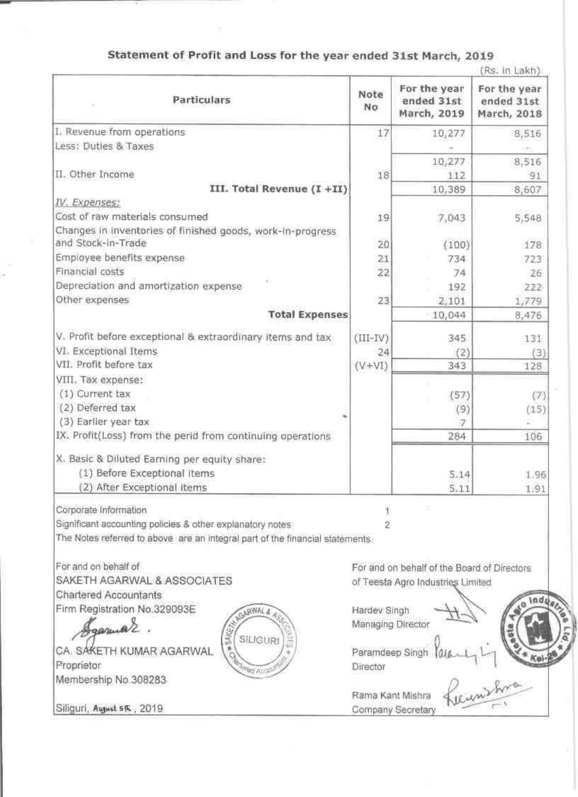### Statement of Profit and Loss for the year ended 31st March, 2019

For the year For the year Note Particulars ended 31st ended 31st No March, 2019 March, 2018 I. Revenue from operations 17 10,277 8,516 Less: Duties & Taxes 10,277 8,516 II. Other Income 18 112 91 III. Total Revenue (I +II) 10,389 8,607 IV. Expenses: Cost of raw materials consumed 19 7.043 5,548 Changes in inventories of finished goods, work-in-progress and Stock-in-Trade 20 178  $(100)$ Employee benefits expense 21 734 723 Financial costs 22 74 26 Depreciation and amortization expense 192 222 Other expenses 23 2,101 1,779 **Total Expenses** 10,044 8,476 V. Profit before exceptional & extraordinary items and tax  $(III-IV)$ 345 131 VI. Exceptional Items 24  $(2)$  $(3)$ VII. Profit before tax  $(V+VI)$ 343 128 VIII. Tax expense: (1) Current tax  $(57)$  $(7)$ (2) Deferred tax  $(9)$  $(15)$ (3) Earlier year tax T. IX. Profit(Loss) from the perid from continuing operations 284 106 X. Basic & Diluted Earning per equity share: (1) Before Exceptional items  $5.14$ 1.96 (2) After Exceptional items  $5.11$ 1.91 Corporate Information  $\ddot{\phantom{a}}$ Significant accounting policies & other explanatory notes  $\overline{2}$ The Notes referred to above are an integral part of the financial statements. For and on behalf of For and on behalf of the Board of Directors SAKETH AGARWAL & ASSOCIATES of Teesta Agro Industries Limited **Chartered Accountants** Firm Registration No.329093E **GARWAL &** Hardey Singh Managing Directo Jarmar **SILIGURI** CA. SAKETH KUMAR AGARWAL Paramdeep Singh Proprietor Director **ROLLAGE** Membership No.308283 Rama Kant Mishra Siliguri, August 5K, 2019. Company Secretary

(Rs. in Lakh)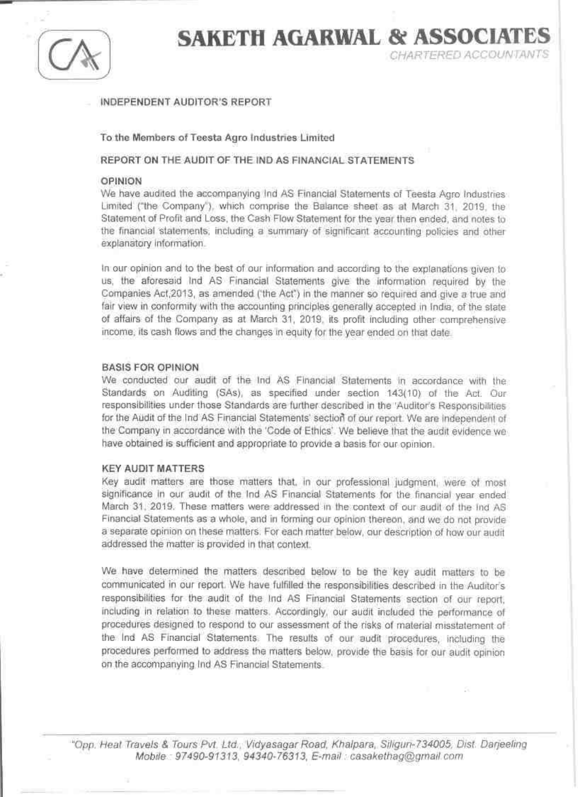**SAKETH AGARWAL & ASSOCIAT** 

CHARTERED ACCOUNTANTS

#### INDEPENDENT AUDITOR'S REPORT

#### To the Members of Teesta Agro Industries Limited

#### REPORT ON THE AUDIT OF THE IND AS FINANCIAL STATEMENTS

#### OPINION

We have audited the accompanying Ind AS Financial Statements of Teesta Agro Industries Limited ("the Company"), which comprise the Balance sheet as at March 31, 2019, the Statement of Profit and Loss, the Cash Flow Statement for the year then ended, and notes to the financial statements, including a summary of significant accounting policies and other explanatory information.

In our opinion and to the best of our information and according to the explanations given to us, the aforesaid Ind AS Financial Statements give the information required by the Companies Act, 2013, as amended ('the Act") in the manner so required and give a true and fair view in conformity with the accounting principles generally accepted in India, of the state of affairs of the Company as at March 31, 2019, its profit including other comprehensive income, its cash flows and the changes in equity for the year ended on that date.

#### **BASIS FOR OPINION**

We conducted our audit of the Ind AS Financial Statements in accordance with the Standards on Auditing (SAs), as specified under section 143(10) of the Act. Our responsibilities under those Standards are further described in the 'Auditor's Responsibilities for the Audit of the Ind AS Financial Statements' section of our report. We are independent of the Company in accordance with the 'Code of Ethics'. We believe that the audit evidence we have obtained is sufficient and appropriate to provide a basis for our opinion.

#### **KEY AUDIT MATTERS**

Key audit matters are those matters that, in our professional judgment, were of most significance in our audit of the Ind AS Financial Statements for the financial year ended March 31, 2019. These matters were addressed in the context of our audit of the Ind AS Financial Statements as a whole, and in forming our opinion thereon, and we do not provide a separate opinion on these matters. For each matter below, our description of how our audit addressed the matter is provided in that context.

We have determined the matters described below to be the key audit matters to be communicated in our report. We have fulfilled the responsibilities described in the Auditor's responsibilities for the audit of the Ind AS Financial Statements section of our report. including in relation to these matters. Accordingly, our audit included the performance of procedures designed to respond to our assessment of the risks of material misstatement of the Ind AS Financial Statements. The results of our audit procedures, including the procedures performed to address the matters below, provide the basis for our audit opinion on the accompanying Ind AS Financial Statements.

"Opp, Heat Travels & Tours Pvt, Ltd., Vidyasagar Road, Khalpara, Siligun-734005, Dist. Darjeeling Mobile 97490-91313, 94340-76313, E-mail : casakethag@gmail.com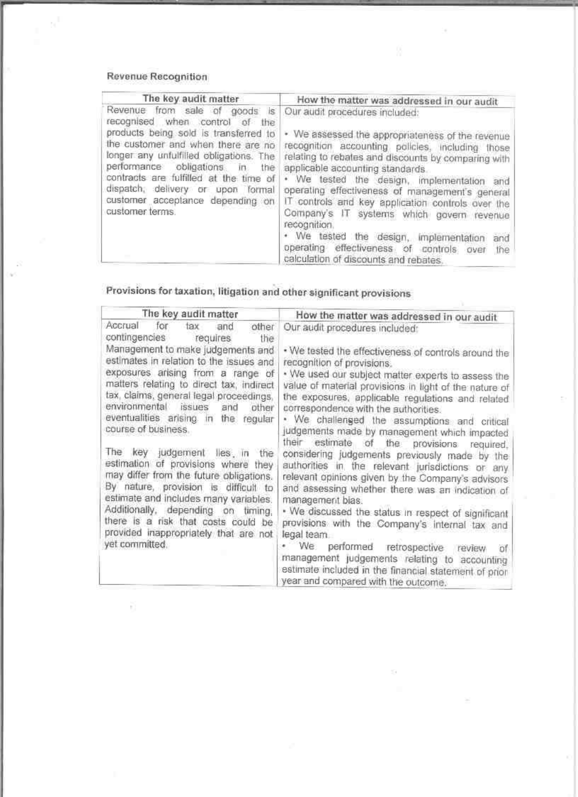### Revenue Recognition

| The key audit matter                                                                                                                                                                                                                                                                                                                                                 | How the matter was addressed in our audit                                                                                                                                                                                                                                                                                                                                                                                                                                                                                                                                                         |
|----------------------------------------------------------------------------------------------------------------------------------------------------------------------------------------------------------------------------------------------------------------------------------------------------------------------------------------------------------------------|---------------------------------------------------------------------------------------------------------------------------------------------------------------------------------------------------------------------------------------------------------------------------------------------------------------------------------------------------------------------------------------------------------------------------------------------------------------------------------------------------------------------------------------------------------------------------------------------------|
| Revenue from sale of goods is<br>recognised when control of the<br>products being sold is transferred to<br>the customer and when there are no<br>longer any unfulfilled obligations. The<br>performance obligations in<br>the<br>contracts are fulfilled at the time of<br>dispatch, delivery or upon formal<br>customer acceptance depending on<br>customer terms. | Our audit procedures included:<br>• We assessed the appropriateness of the revenue<br>recognition accounting policies, including those<br>relating to rebates and discounts by comparing with<br>applicable accounting standards.<br>. We tested the design, implementation and<br>operating effectiveness of management's general<br>IT controls and key application controls over the<br>Company's IT systems which govern revenue<br>recognition.<br>. We tested the design, implementation<br>and<br>operating effectiveness of controls over<br>the<br>calculation of discounts and rebates. |

Provisions for taxation, litigation and other significant provisions

| The key audit matter                                                                                                                                                                                                                                                                                                                                                                                                                                                                                                                                                                                                                                                                                                               | How the matter was addressed in our audit                                                                                                                                                                                                                                                                                                                                                                                                                                                                                                                                                                                                                                                                                                                                                                                                                                                                                                                                                                                                |
|------------------------------------------------------------------------------------------------------------------------------------------------------------------------------------------------------------------------------------------------------------------------------------------------------------------------------------------------------------------------------------------------------------------------------------------------------------------------------------------------------------------------------------------------------------------------------------------------------------------------------------------------------------------------------------------------------------------------------------|------------------------------------------------------------------------------------------------------------------------------------------------------------------------------------------------------------------------------------------------------------------------------------------------------------------------------------------------------------------------------------------------------------------------------------------------------------------------------------------------------------------------------------------------------------------------------------------------------------------------------------------------------------------------------------------------------------------------------------------------------------------------------------------------------------------------------------------------------------------------------------------------------------------------------------------------------------------------------------------------------------------------------------------|
| Accrual for tax<br>other<br>and<br>contingencies<br>requires<br>the<br>Management to make judgements and<br>estimates in relation to the issues and<br>exposures arising from a range of<br>matters relating to direct tax, indirect<br>tax, claims, general legal proceedings,<br>environmental issues<br>and<br>other<br>eventualities arising in the regular<br>course of business.<br>The key judgement lies in the<br>estimation of provisions where they<br>may differ from the future obligations.<br>By nature, provision is difficult to<br>estimate and includes many variables.<br>Additionally, depending on timing,<br>there is a risk that costs could be<br>provided inappropriately that are not<br>yet committed. | Our audit procedures included:<br>. We tested the effectiveness of controls around the<br>recognition of provisions.<br>. We used our subject matter experts to assess the<br>value of material provisions in light of the nature of<br>the exposures, applicable regulations and related<br>correspondence with the authorities.<br>. We challenged the assumptions and critical<br>judgements made by management which impacted<br>their estimate of the provisions required,<br>considering judgements previously made by the<br>authorities in the relevant jurisdictions or any<br>relevant opinions given by the Company's advisors<br>and assessing whether there was an indication of<br>management bias.<br>. We discussed the status in respect of significant<br>provisions with the Company's internal tax and<br>legal team<br>· We performed retrospective<br>review<br>of<br>management judgements relating to accounting<br>estimate included in the financial statement of prior<br>year and compared with the outcome. |

Ð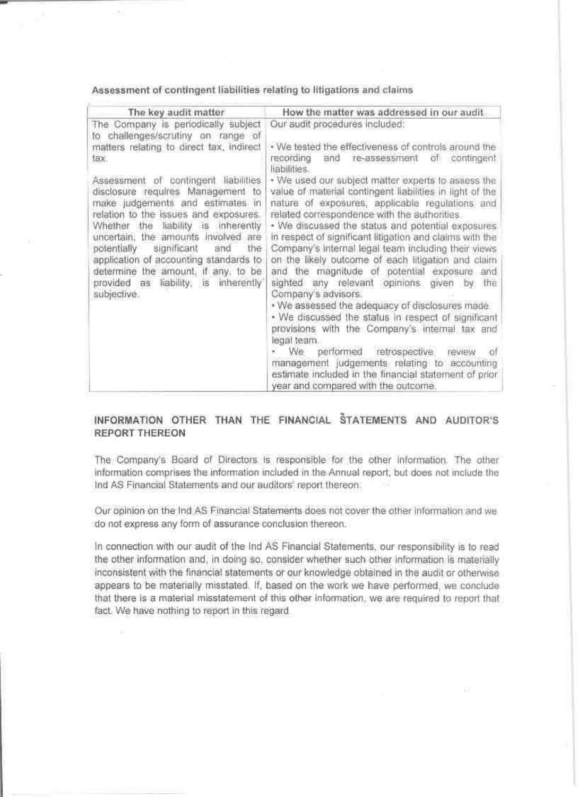#### Assessment of contingent liabilities relating to litigations and claims

| The key audit matter                                                                                                                                                                                                                                                                                                                                                                                                  | How the matter was addressed in our audit                                                                                                                                                                                                                                                                                                                                                                                                                                                                                                                                                                                                                                                                                                                                                                                                                                                                                                                 |
|-----------------------------------------------------------------------------------------------------------------------------------------------------------------------------------------------------------------------------------------------------------------------------------------------------------------------------------------------------------------------------------------------------------------------|-----------------------------------------------------------------------------------------------------------------------------------------------------------------------------------------------------------------------------------------------------------------------------------------------------------------------------------------------------------------------------------------------------------------------------------------------------------------------------------------------------------------------------------------------------------------------------------------------------------------------------------------------------------------------------------------------------------------------------------------------------------------------------------------------------------------------------------------------------------------------------------------------------------------------------------------------------------|
| The Company is periodically subject<br>to challenges/scrutiny on range of<br>matters relating to direct tax, indirect<br>tax.                                                                                                                                                                                                                                                                                         | Our audit procedures included:<br>. We tested the effectiveness of controls around the<br>recording<br>re-assessment<br>อกซ<br>of contingent<br>liabilities.                                                                                                                                                                                                                                                                                                                                                                                                                                                                                                                                                                                                                                                                                                                                                                                              |
| Assessment of contingent liabilities<br>disclosure requires Management to<br>make judgements and estimates in<br>relation to the issues and exposures.<br>Whether the liability is inherently<br>uncertain, the amounts involved are<br>potentially significant<br>the<br>and<br>application of accounting standards to<br>determine the amount, if any, to be<br>provided as liability, is inherently<br>subjective. | . We used our subject matter experts to assess the<br>value of material contingent liabilities in light of the<br>nature of exposures, applicable regulations and<br>related correspondence with the authorities.<br>• We discussed the status and potential exposures.<br>in respect of significant litigation and claims with the<br>Company's internal legal team including their views<br>on the likely outcome of each litigation and claim<br>and the magnitude of potential exposure and<br>sighted any relevant opinions given by the<br>Company's advisors.<br>. We assessed the adequacy of disclosures made.<br>• We discussed the status in respect of significant<br>provisions with the Company's internal tax and<br>legal team.<br>performed retrospective<br>We.<br>review<br>$^{\circ}$<br>management judgements relating to accounting<br>estimate included in the financial statement of prior<br>year and compared with the outcome. |

### INFORMATION OTHER THAN THE FINANCIAL STATEMENTS AND AUDITOR'S **REPORT THEREON**

The Company's Board of Directors is responsible for the other information. The other information comprises the information included in the Annual report, but does not include the Ind AS Financial Statements and our auditors' report thereon.

Our opinion on the Ind AS Financial Statements does not cover the other information and we do not express any form of assurance conclusion thereon.

In connection with our audit of the Ind AS Financial Statements, our responsibility is to read the other information and, in doing so, consider whether such other information is materially inconsistent with the financial statements or our knowledge obtained in the audit or otherwise appears to be materially misstated. If, based on the work we have performed, we conclude that there is a material misstatement of this other information, we are required to report that fact. We have nothing to report in this regard.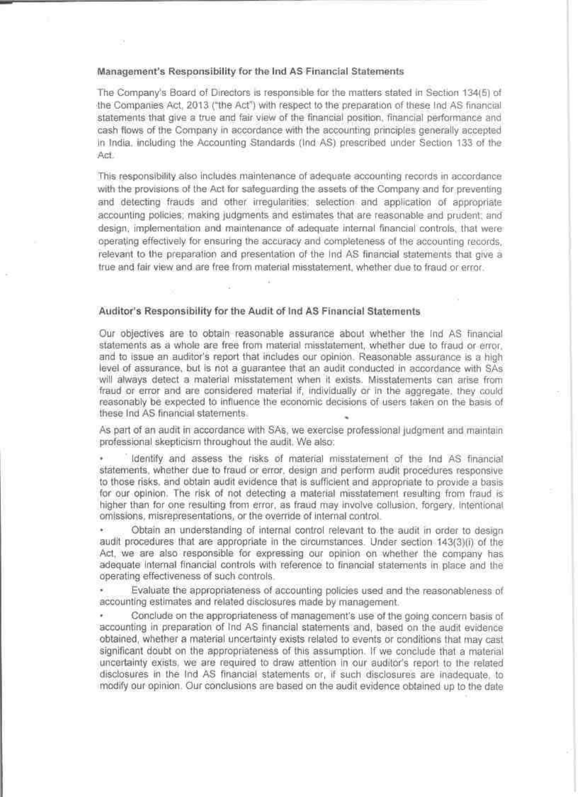#### Management's Responsibility for the Ind AS Financial Statements

73

The Company's Board of Directors is responsible for the matters stated in Section 134(5) of the Companies Act, 2013 ("the Act") with respect to the preparation of these Ind AS financial statements that give a true and fair view of the financial position, financial performance and cash flows of the Company in accordance with the accounting principles generally accepted in India, including the Accounting Standards (Ind AS) prescribed under Section 133 of the Act

This responsibility also includes maintenance of adequate accounting records in accordance with the provisions of the Act for safeguarding the assets of the Company and for preventing and detecting frauds and other irregularities; selection and application of appropriate accounting policies; making judgments and estimates that are reasonable and prudent; and design, implementation and maintenance of adequate internal financial controls, that were operating effectively for ensuring the accuracy and completeness of the accounting records, relevant to the preparation and presentation of the Ind AS financial statements that give a true and fair view and are free from material misstatement, whether due to fraud or error.

#### Auditor's Responsibility for the Audit of Ind AS Financial Statements

Our objectives are to obtain reasonable assurance about whether the Ind AS financial statements as a whole are free from material misstatement, whether due to fraud or error. and to issue an auditor's report that includes our opinion. Reasonable assurance is a high level of assurance, but is not a guarantee that an audit conducted in accordance with SAs will always detect a material misstatement when it exists. Misstatements can arise from fraud or error and are considered material if, individually or in the aggregate, they could reasonably be expected to influence the economic decisions of users taken on the basis of these Ind AS financial statements.

As part of an audit in accordance with SAs, we exercise professional judgment and maintain professional skepticism throughout the audit. We also:

Identify and assess the risks of material misstatement of the Ind AS financial statements, whether due to fraud or error, design and perform audit procedures responsive to those risks, and obtain audit evidence that is sufficient and appropriate to provide a basis for our opinion. The risk of not detecting a material misstatement resulting from fraud is higher than for one resulting from error, as fraud may involve collusion, forgery, intentional omissions, misrepresentations, or the override of internal control.

Obtain an understanding of internal control relevant to the audit in order to design audit procedures that are appropriate in the circumstances. Under section 143(3)(i) of the Act, we are also responsible for expressing our opinion on whether the company has adequate internal financial controls with reference to financial statements in place and the operating effectiveness of such controls.

Evaluate the appropriateness of accounting policies used and the reasonableness of ¥. accounting estimates and related disclosures made by management.

Conclude on the appropriateness of management's use of the going concern basis of accounting in preparation of Ind AS financial statements and, based on the audit evidence obtained, whether a material uncertainty exists related to events or conditions that may cast significant doubt on the appropriateness of this assumption. If we conclude that a material uncertainty exists, we are required to draw attention in our auditor's report to the related disclosures in the Ind AS financial statements or, if such disclosures are inadequate, to modify our opinion. Our conclusions are based on the audit evidence obtained up to the date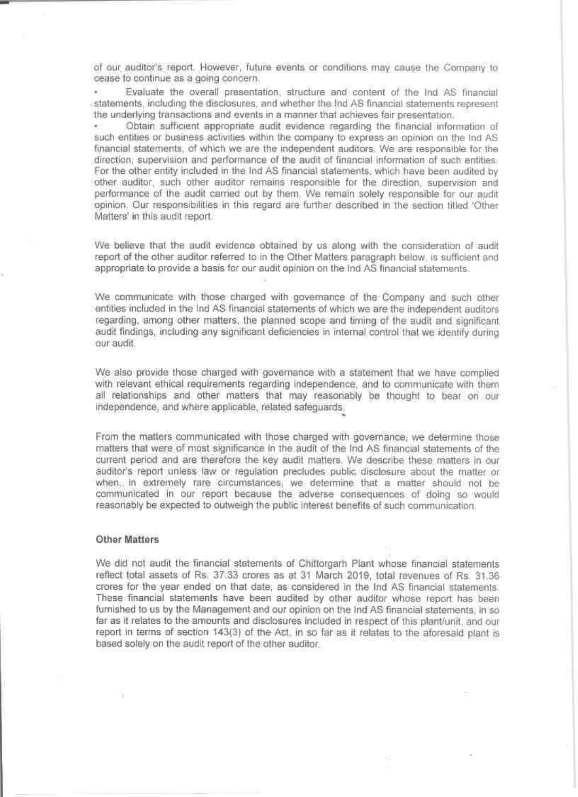of our auditor's report. However, future events or conditions may cause the Company to cease to continue as a going concern.

Evaluate the overall presentation, structure and content of the Ind AS financial statements, including the disclosures, and whether the Ind AS financial statements represent the underlying transactions and events in a manner that achieves fair presentation.

Obtain sufficient appropriate audit evidence regarding the financial information of such entities or business activities within the company to express an opinion on the Ind AS financial statements, of which we are the independent auditors. We are responsible for the direction, supervision and performance of the audit of financial information of such entities. For the other entity included in the Ind AS financial statements, which have been audited by other auditor, such other auditor remains responsible for the direction, supervision and performance of the audit carried out by them. We remain solely responsible for our audit opinion. Our responsibilities in this regard are further described in the section titled 'Other Matters' in this audit report.

We believe that the audit evidence obtained by us along with the consideration of audit report of the other auditor referred to in the Other Matters paragraph below, is sufficient and appropriate to provide a basis for our audit opinion on the Ind AS financial statements.

We communicate with those charged with governance of the Company and such other entities included in the Ind AS financial statements of which we are the independent auditors regarding, among other matters, the planned scope and timing of the audit and significant audit findings, including any significant deficiencies in internal control that we identify during our audit.

We also provide those charged with governance with a statement that we have complied with relevant ethical requirements regarding independence, and to communicate with them all relationships and other matters that may reasonably be thought to bear on our independence, and where applicable, related safeguards.

From the matters communicated with those charged with governance, we determine those matters that were of most significance in the audit of the Ind AS financial statements of the current period and are therefore the key audit matters. We describe these matters in our auditor's report unless law or regulation precludes public disclosure about the matter or when, in extremely rare circumstances, we determine that a matter should not be communicated in our report because the adverse consequences of doing so would reasonably be expected to outweigh the public interest benefits of such communication.

#### **Other Matters**

We did not audit the financial statements of Chittorgarh Plant whose financial statements reflect total assets of Rs. 37.33 crores as at 31 March 2019, total revenues of Rs. 31.36 crores for the year ended on that date, as considered in the Ind AS financial statements. These financial statements have been audited by other auditor whose report has been furnished to us by the Management and our opinion on the Ind AS financial statements, in so far as it relates to the amounts and disclosures included in respect of this plant/unit, and our report in terms of section 143(3) of the Act, in so far as it relates to the aforesaid plant is based solely on the audit report of the other auditor.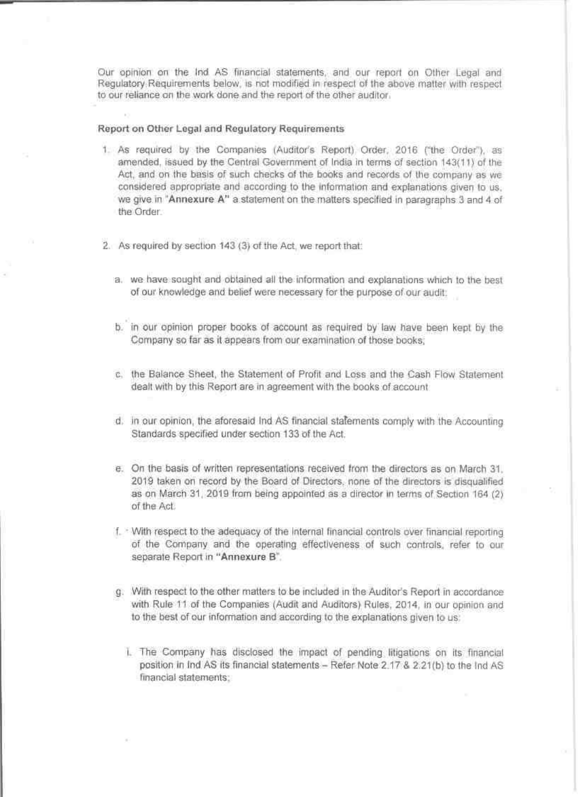Our opinion on the Ind AS financial statements, and our report on Other Legal and Regulatory Requirements below, is not modified in respect of the above matter with respect to our reliance on the work done and the report of the other auditor.

#### Report on Other Legal and Regulatory Requirements

- 1. As required by the Companies (Auditor's Report) Order, 2016 ('the Order'), as amended, issued by the Central Government of India in terms of section 143(11) of the Act, and on the basis of such checks of the books and records of the company as we considered appropriate and according to the information and explanations given to us. we give in "Annexure A" a statement on the matters specified in paragraphs 3 and 4 of the Order.
- 2. As required by section 143 (3) of the Act, we report that:
	- a. we have sought and obtained all the information and explanations which to the best of our knowledge and belief were necessary for the purpose of our audit:
	- b. in our opinion proper books of account as required by law have been kept by the Company so far as it appears from our examination of those books;
	- c. the Balance Sheet, the Statement of Profit and Loss and the Cash Flow Statement dealt with by this Report are in agreement with the books of account
	- d. in our opinion, the aforesaid Ind AS financial statements comply with the Accounting Standards specified under section 133 of the Act.
	- e. On the basis of written representations received from the directors as on March 31. 2019 taken on record by the Board of Directors, none of the directors is disqualified as on March 31, 2019 from being appointed as a director in terms of Section 164 (2) of the Act.
	- f. > With respect to the adequacy of the internal financial controls over financial reporting of the Company and the operating effectiveness of such controls, refer to our separate Report in "Annexure B".
	- g. With respect to the other matters to be included in the Auditor's Report in accordance with Rule 11 of the Companies (Audit and Auditors) Rules, 2014, in our opinion and to the best of our information and according to the explanations given to us:
		- i. The Company has disclosed the impact of pending litigations on its financial position in Ind AS its financial statements - Refer Note 2.17 & 2.21(b) to the Ind AS financial statements: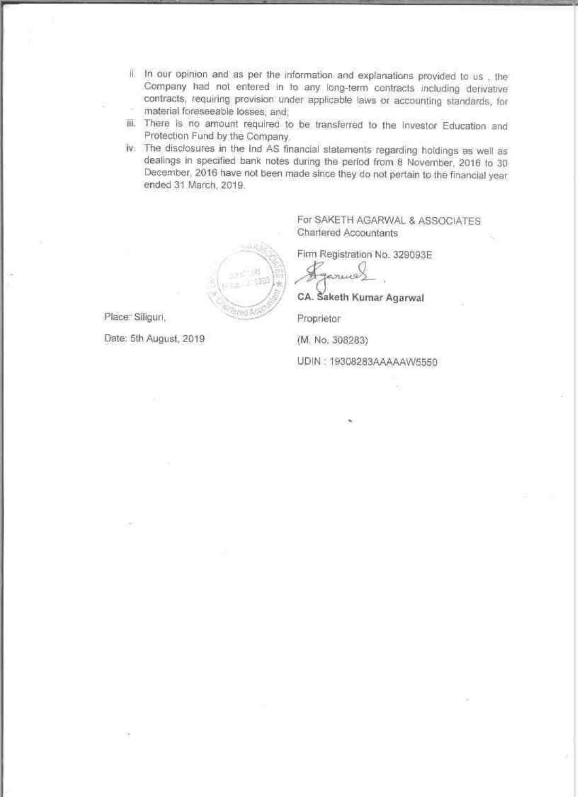- ii. In our opinion and as per the information and explanations provided to us, the Company had not entered in to any long-term contracts including derivative contracts, requiring provision under applicable laws or accounting standards, for material foreseeable losses; and;
- iii. There is no amount required to be transferred to the Investor Education and Protection Fund by the Company.
- iv. The disclosures in the Ind AS financial statements regarding holdings as well as dealings in specified bank notes during the period from 8 November, 2016 to 30 December, 2016 have not been made since they do not pertain to the financial year ended 31 March, 2019.

 $\rightarrow$ 

Place: Siliguri,

Date: 5th August, 2019

For SAKETH AGARWAL & ASSOCIATES Charlered Accountants

Firm Registration No. 329093E

 $141.149$ 

CA. Saketh Kumar Agarwal

Proprietor

(M. No. 308283)

UDIN: 19308283AAAAAW5550